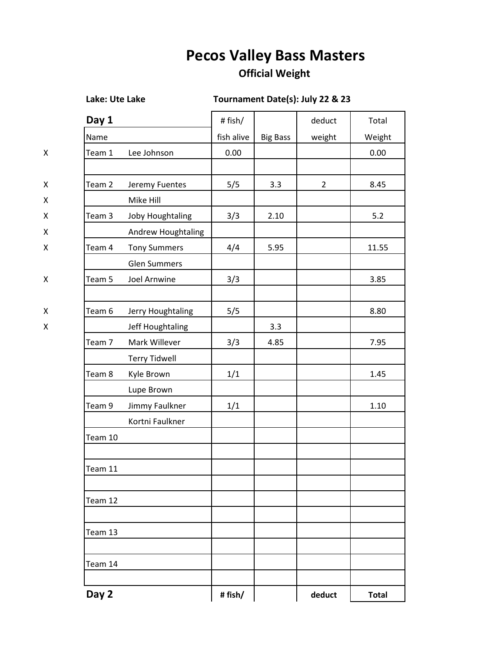## **Pecos Valley Bass Masters**

## **Official Weight**

## **Lake: Ute Lake Tournament Date(s): July 22 & 23**

| Day 1   |                                       | # fish/    |                 | deduct         | Total        |
|---------|---------------------------------------|------------|-----------------|----------------|--------------|
| Name    |                                       | fish alive | <b>Big Bass</b> | weight         | Weight       |
| Team 1  | Lee Johnson                           | 0.00       |                 |                | 0.00         |
|         |                                       |            |                 |                |              |
| Team 2  | Jeremy Fuentes<br>Mike Hill           | 5/5        | 3.3             | $\overline{2}$ | 8.45         |
| Team 3  | Joby Houghtaling                      | 3/3        | 2.10            |                | 5.2          |
|         | Andrew Houghtaling                    |            |                 |                |              |
| Team 4  | <b>Tony Summers</b>                   | 4/4        | 5.95            |                | 11.55        |
|         | <b>Glen Summers</b>                   |            |                 |                |              |
| Team 5  | Joel Arnwine                          | 3/3        |                 |                | 3.85         |
| Team 6  |                                       |            |                 |                | 8.80         |
|         | Jerry Houghtaling<br>Jeff Houghtaling | 5/5        | 3.3             |                |              |
| Team 7  | Mark Willever                         | 3/3        | 4.85            |                | 7.95         |
|         | <b>Terry Tidwell</b>                  |            |                 |                |              |
| Team 8  | Kyle Brown                            | 1/1        |                 |                | 1.45         |
|         | Lupe Brown                            |            |                 |                |              |
| Team 9  | Jimmy Faulkner                        | 1/1        |                 |                | $1.10\,$     |
|         | Kortni Faulkner                       |            |                 |                |              |
| Team 10 |                                       |            |                 |                |              |
| Team 11 |                                       |            |                 |                |              |
| Team 12 |                                       |            |                 |                |              |
| Team 13 |                                       |            |                 |                |              |
| Team 14 |                                       |            |                 |                |              |
| Day 2   |                                       | #fish/     |                 | deduct         | <b>Total</b> |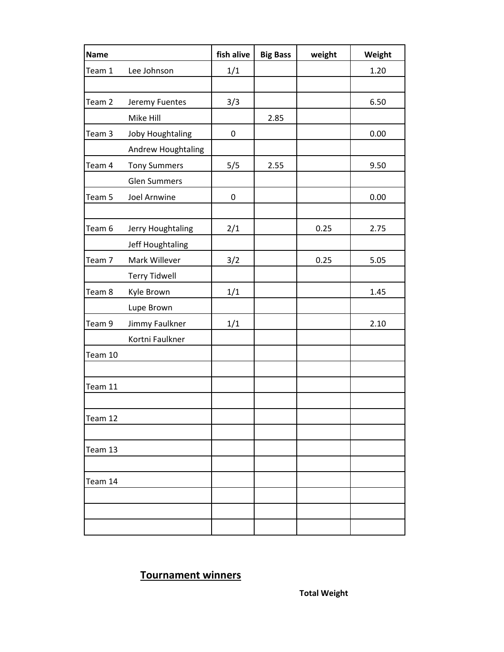| <b>Name</b> |                      | fish alive | <b>Big Bass</b> | weight | Weight |
|-------------|----------------------|------------|-----------------|--------|--------|
| Team 1      | Lee Johnson          | 1/1        |                 |        | 1.20   |
|             |                      |            |                 |        |        |
| Team 2      | Jeremy Fuentes       | 3/3        |                 |        | 6.50   |
|             | Mike Hill            |            | 2.85            |        |        |
| Team 3      | Joby Houghtaling     | 0          |                 |        | 0.00   |
|             | Andrew Houghtaling   |            |                 |        |        |
| Team 4      | <b>Tony Summers</b>  | 5/5        | 2.55            |        | 9.50   |
|             | <b>Glen Summers</b>  |            |                 |        |        |
| Team 5      | Joel Arnwine         | $\pmb{0}$  |                 |        | 0.00   |
|             |                      |            |                 |        |        |
| Team 6      | Jerry Houghtaling    | 2/1        |                 | 0.25   | 2.75   |
|             | Jeff Houghtaling     |            |                 |        |        |
| Team 7      | Mark Willever        | 3/2        |                 | 0.25   | 5.05   |
|             | <b>Terry Tidwell</b> |            |                 |        |        |
| Team 8      | Kyle Brown           | 1/1        |                 |        | 1.45   |
|             | Lupe Brown           |            |                 |        |        |
| Team 9      | Jimmy Faulkner       | 1/1        |                 |        | 2.10   |
|             | Kortni Faulkner      |            |                 |        |        |
| Team 10     |                      |            |                 |        |        |
|             |                      |            |                 |        |        |
| Team 11     |                      |            |                 |        |        |
|             |                      |            |                 |        |        |
| Team 12     |                      |            |                 |        |        |
|             |                      |            |                 |        |        |
| Team 13     |                      |            |                 |        |        |
|             |                      |            |                 |        |        |
| Team 14     |                      |            |                 |        |        |
|             |                      |            |                 |        |        |
|             |                      |            |                 |        |        |
|             |                      |            |                 |        |        |

## **Tournament winners**